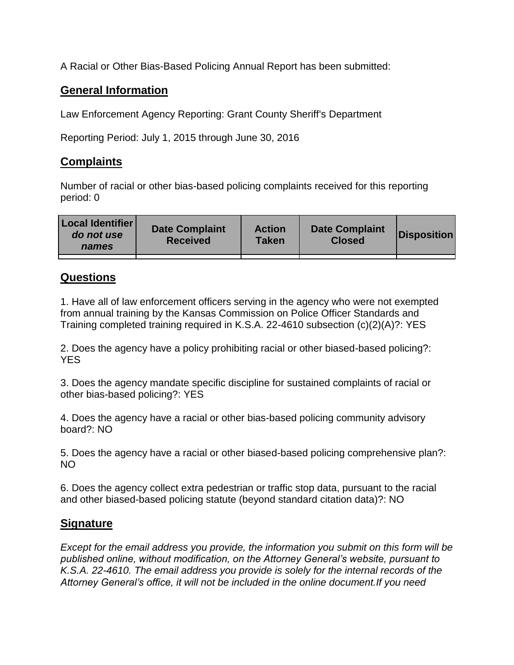A Racial or Other Bias-Based Policing Annual Report has been submitted:

## **General Information**

Law Enforcement Agency Reporting: Grant County Sheriff's Department

Reporting Period: July 1, 2015 through June 30, 2016

## **Complaints**

Number of racial or other bias-based policing complaints received for this reporting period: 0

| <b>Local Identifier</b><br>do not use<br>names | <b>Date Complaint</b><br><b>Received</b> | <b>Action</b><br><b>Taken</b> | <b>Date Complaint</b><br><b>Closed</b> | Disposition |
|------------------------------------------------|------------------------------------------|-------------------------------|----------------------------------------|-------------|
|                                                |                                          |                               |                                        |             |

## **Questions**

1. Have all of law enforcement officers serving in the agency who were not exempted from annual training by the Kansas Commission on Police Officer Standards and Training completed training required in K.S.A. 22-4610 subsection (c)(2)(A)?: YES

2. Does the agency have a policy prohibiting racial or other biased-based policing?: YES

3. Does the agency mandate specific discipline for sustained complaints of racial or other bias-based policing?: YES

4. Does the agency have a racial or other bias-based policing community advisory board?: NO

5. Does the agency have a racial or other biased-based policing comprehensive plan?: NO

6. Does the agency collect extra pedestrian or traffic stop data, pursuant to the racial and other biased-based policing statute (beyond standard citation data)?: NO

## **Signature**

*Except for the email address you provide, the information you submit on this form will be published online, without modification, on the Attorney General's website, pursuant to K.S.A. 22-4610. The email address you provide is solely for the internal records of the Attorney General's office, it will not be included in the online document.If you need*